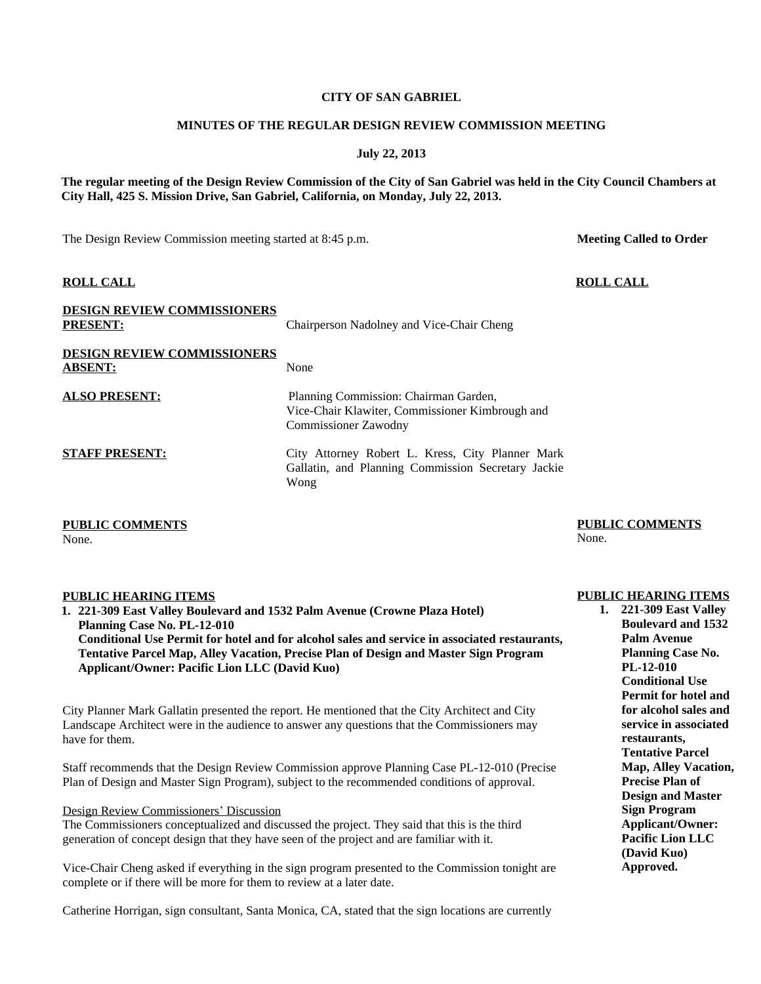### **CITY OF SAN GABRIEL**

### **MINUTES OF THE REGULAR DESIGN REVIEW COMMISSION MEETING**

**July 22, 2013**

**The regular meeting of the Design Review Commission of the City of San Gabriel was held in the City Council Chambers at City Hall, 425 S. Mission Drive, San Gabriel, California, on Monday, July 22, 2013.**

The Design Review Commission meeting started at 8:45 p.m.

# **ROLL CALL**

| <b>DESIGN REVIEW COMMISSIONERS</b><br><b>PRESENT:</b> | Chairperson Nadolney and Vice-Chair Cheng                                                                               |
|-------------------------------------------------------|-------------------------------------------------------------------------------------------------------------------------|
| <b>DESIGN REVIEW COMMISSIONERS</b><br><b>ABSENT:</b>  | None                                                                                                                    |
| <b>ALSO PRESENT:</b>                                  | Planning Commission: Chairman Garden,<br>Vice-Chair Klawiter, Commissioner Kimbrough and<br><b>Commissioner Zawodny</b> |
| <b>STAFF PRESENT:</b>                                 | City Attorney Robert L. Kress, City Planner Mark<br>Gallatin, and Planning Commission Secretary Jackie<br>Wong          |

**PUBLIC COMMENTS** None.

# **PUBLIC HEARING ITEMS 1. 221-309 East Valley Boulevard and 1532 Palm Avenue (Crowne Plaza Hotel) Planning Case No. PL-12-010 Conditional Use Permit for hotel and for alcohol sales and service in associated restaurants, Tentative Parcel Map, Alley Vacation, Precise Plan of Design and Master Sign Program Applicant/Owner: Pacific Lion LLC (David Kuo)**

City Planner Mark Gallatin presented the report. He mentioned that the City Architect and City Landscape Architect were in the audience to answer any questions that the Commissioners may have for them.

Staff recommends that the Design Review Commission approve Planning Case PL-12-010 (Precise Plan of Design and Master Sign Program), subject to the recommended conditions of approval.

### Design Review Commissioners' Discussion

The Commissioners conceptualized and discussed the project. They said that this is the third generation of concept design that they have seen of the project and are familiar with it.

Vice-Chair Cheng asked if everything in the sign program presented to the Commission tonight are complete or if there will be more for them to review at a later date.

Catherine Horrigan, sign consultant, Santa Monica, CA, stated that the sign locations are currently

**PUBLIC COMMENTS**

None.

# **PUBLIC HEARING ITEMS**

**1. 221-309 East Valley Boulevard and 1532 Palm Avenue Planning Case No. PL-12-010 Conditional Use Permit for hotel and for alcohol sales and service in associated restaurants, Tentative Parcel Map, Alley Vacation, Precise Plan of Design and Master Sign Program Applicant/Owner: Pacific Lion LLC (David Kuo) Approved.**

**Meeting Called to Order**

**ROLL CALL**